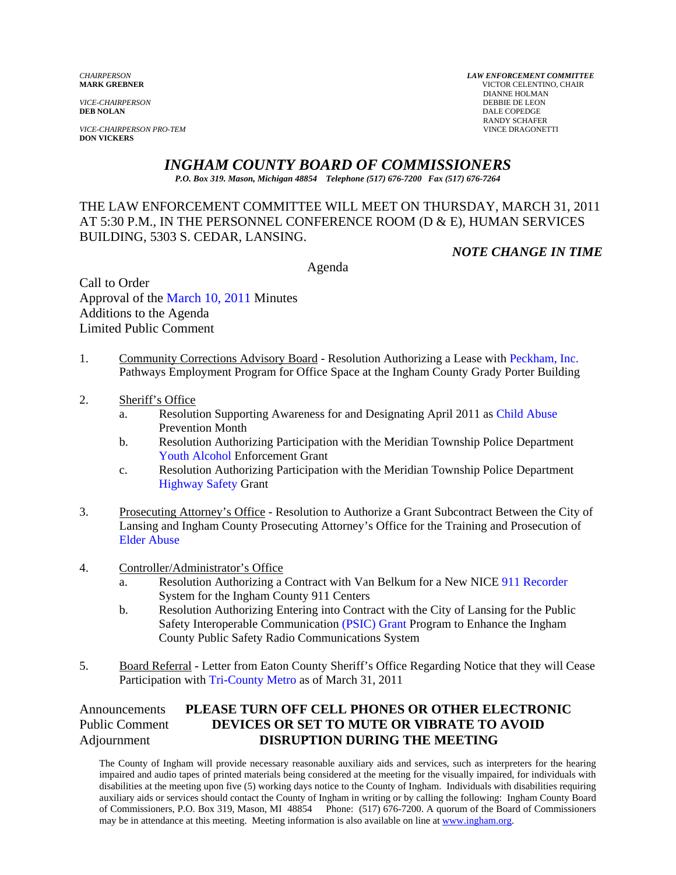*VICE-CHAIRPERSON*<br>**DEB NOLAN** 

**VICE-CHAIRPERSON PRO-TEM DON VICKERS** 

*CHAIRPERSON LAW ENFORCEMENT COMMITTEE* **VICTOR CELENTINO, CHAIR DIANNE HOLMAN<br>DEBBIE DE LEON DALE COPEDGE** RANDY SCHAFER<br>VINCE DRAGONETTI

# *INGHAM COUNTY BOARD OF COMMISSIONERS*

*P.O. Box 319. Mason, Michigan 48854 Telephone (517) 676-7200 Fax (517) 676-7264*

#### THE LAW ENFORCEMENT COMMITTEE WILL MEET ON THURSDAY, MARCH 31, 2011 AT 5:30 P.M., IN THE PERSONNEL CONFERENCE ROOM (D & E), HUMAN SERVICES BUILDING, 5303 S. CEDAR, LANSING.

*NOTE CHANGE IN TIME* 

Agenda

Call to Order Approval of [the March 10, 2011 Minutes](#page-1-0)  Additions to the Agenda Limited Public Comment

- 1. Community Corrections Advisory Board Resolution Authorizing a Lease with Peckham, Inc. Pathways Employment Program for Office Space at the Ingham County Grad[y Porter Building](#page-6-0)
- 2. Sheriff's Office
	- a. Resolution Supporting Awareness for and Designating April 201[1 as Child Abuse](#page-8-0)  Prevention Month
	- b. [Resolution Authorizing Pa](#page-11-0)rticipation with the Meridian Township Police Department Youth Alcohol Enforcement Grant
	- c. Resolution Authorizing Participation with the Meridian Township Police Department [Highway Safety Grant](#page-13-0)
- 3. Prosecuting Attorney's Office Resolution to Authorize a Grant Subcontract Between the City of [Lansing and Ingham Count](#page-15-0)y Prosecuting Attorney's Office for the Training and Prosecution of Elder Abuse
- 4. Controller/Administrator's Office
	- a. Resolution Authorizing a Contract with Van Belkum for a New N[ICE 911 Recorder](#page-17-0)  System for the Ingham County 911 Centers
	- b. Resolution Authorizing Entering into Contract with the City of Lansing for the Public Safety Interoperable Communicat[ion \(PSIC\) Grant Progr](#page-19-0)am to Enhance the Ingham County Public Safety Radio Communications System
- 5. Board Referral [Letter from Eaton County She](#page-21-0)riff's Office Regarding Notice that they will Cease Participation with Tri-County Metro as of March 31, 2011

#### Announcements **PLEASE TURN OFF CELL PHONES OR OTHER ELECTRONIC** Public Comment **DEVICES OR SET TO MUTE OR VIBRATE TO AVOID** Adjournment **DISRUPTION DURING THE MEETING**

The County of Ingham will provide necessary reasonable auxiliary aids and services, such as interpreters for the hearing impaired and audio tapes of printed materials being considered at the meeting for the visually impaired, for individuals with disabilities at the meeting upon five (5) working days notice to the County of Ingham. Individuals with disabilities requiring auxiliary aids or services should contact the County of Ingham in writing or by calling the following: Ingham County Board of Commissioners, P.O. Box 319, Mason, MI 48854 Phone: (517) 676-7200. A quorum of the Board of Commissioners may be in attendance at this meeting. Meeting information is also available on line at www.ingham.org.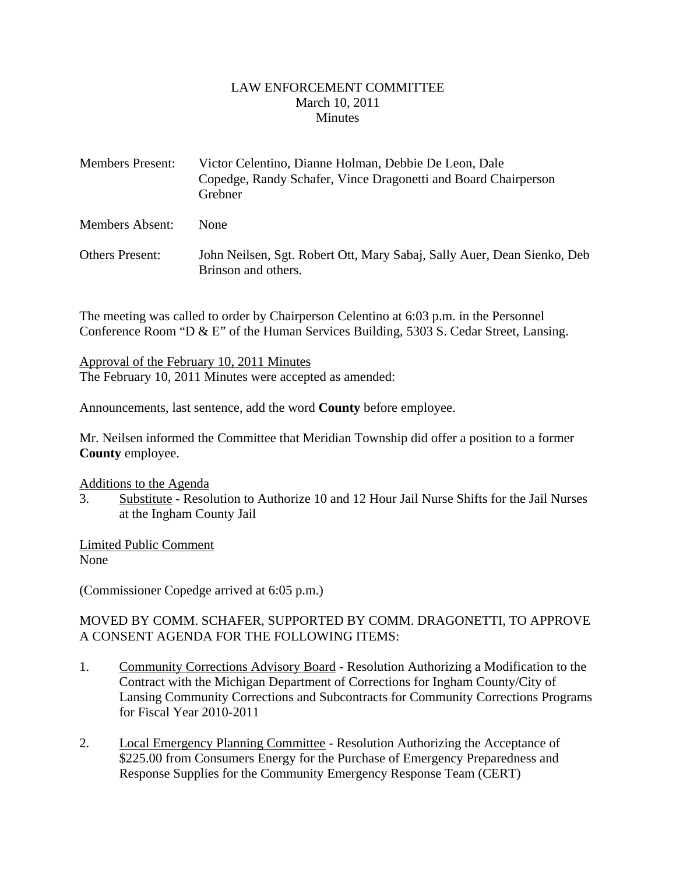#### LAW ENFORCEMENT COMMITTEE March 10, 2011 **Minutes**

<span id="page-1-0"></span>

| <b>Members Present:</b> | Victor Celentino, Dianne Holman, Debbie De Leon, Dale<br>Copedge, Randy Schafer, Vince Dragonetti and Board Chairperson<br>Grebner |
|-------------------------|------------------------------------------------------------------------------------------------------------------------------------|
| <b>Members Absent:</b>  | <b>None</b>                                                                                                                        |
| <b>Others Present:</b>  | John Neilsen, Sgt. Robert Ott, Mary Sabaj, Sally Auer, Dean Sienko, Deb<br>Brinson and others.                                     |

The meeting was called to order by Chairperson Celentino at 6:03 p.m. in the Personnel Conference Room "D & E" of the Human Services Building, 5303 S. Cedar Street, Lansing.

Approval of the February 10, 2011 Minutes The February 10, 2011 Minutes were accepted as amended:

Announcements, last sentence, add the word **County** before employee.

Mr. Neilsen informed the Committee that Meridian Township did offer a position to a former **County** employee.

#### Additions to the Agenda

3. Substitute - Resolution to Authorize 10 and 12 Hour Jail Nurse Shifts for the Jail Nurses at the Ingham County Jail

Limited Public Comment None

(Commissioner Copedge arrived at 6:05 p.m.)

#### MOVED BY COMM. SCHAFER, SUPPORTED BY COMM. DRAGONETTI, TO APPROVE A CONSENT AGENDA FOR THE FOLLOWING ITEMS:

- 1. Community Corrections Advisory Board Resolution Authorizing a Modification to the Contract with the Michigan Department of Corrections for Ingham County/City of Lansing Community Corrections and Subcontracts for Community Corrections Programs for Fiscal Year 2010-2011
- 2. Local Emergency Planning Committee Resolution Authorizing the Acceptance of \$225.00 from Consumers Energy for the Purchase of Emergency Preparedness and Response Supplies for the Community Emergency Response Team (CERT)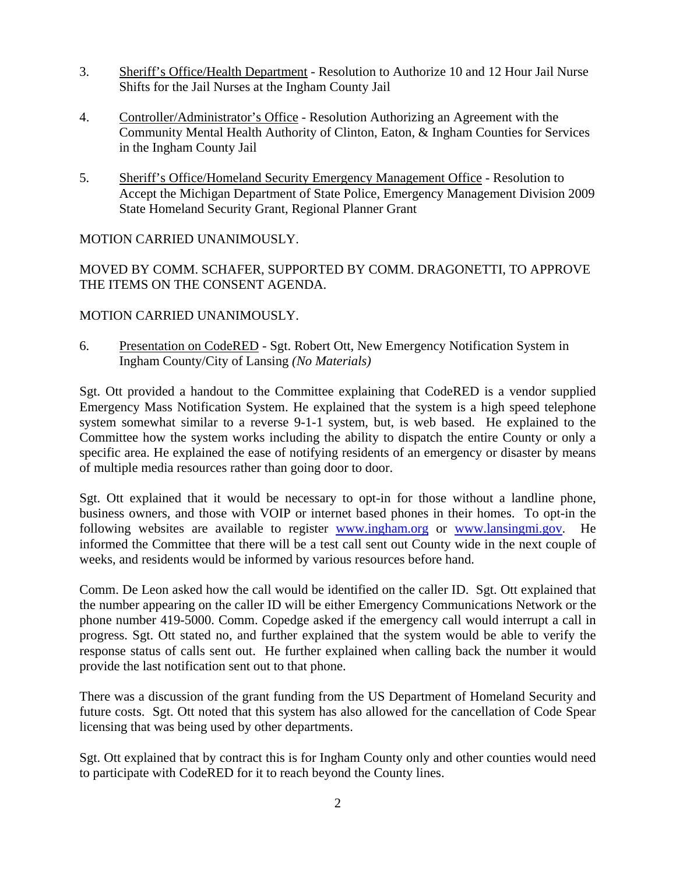- 3. Sheriff's Office/Health Department Resolution to Authorize 10 and 12 Hour Jail Nurse Shifts for the Jail Nurses at the Ingham County Jail
- 4. Controller/Administrator's Office Resolution Authorizing an Agreement with the Community Mental Health Authority of Clinton, Eaton, & Ingham Counties for Services in the Ingham County Jail
- 5. Sheriff's Office/Homeland Security Emergency Management Office Resolution to Accept the Michigan Department of State Police, Emergency Management Division 2009 State Homeland Security Grant, Regional Planner Grant

#### MOTION CARRIED UNANIMOUSLY.

MOVED BY COMM. SCHAFER, SUPPORTED BY COMM. DRAGONETTI, TO APPROVE THE ITEMS ON THE CONSENT AGENDA.

#### MOTION CARRIED UNANIMOUSLY.

6. Presentation on CodeRED - Sgt. Robert Ott, New Emergency Notification System in Ingham County/City of Lansing *(No Materials)*

Sgt. Ott provided a handout to the Committee explaining that CodeRED is a vendor supplied Emergency Mass Notification System. He explained that the system is a high speed telephone system somewhat similar to a reverse 9-1-1 system, but, is web based. He explained to the Committee how the system works including the ability to dispatch the entire County or only a specific area. He explained the ease of notifying residents of an emergency or disaster by means of multiple media resources rather than going door to door.

Sgt. Ott explained that it would be necessary to opt-in for those without a landline phone, business owners, and those with VOIP or internet based phones in their homes. To opt-in the following websites are available to register www.ingham.org or www.lansingmi.gov. He informed the Committee that there will be a test call sent out County wide in the next couple of weeks, and residents would be informed by various resources before hand.

Comm. De Leon asked how the call would be identified on the caller ID. Sgt. Ott explained that the number appearing on the caller ID will be either Emergency Communications Network or the phone number 419-5000. Comm. Copedge asked if the emergency call would interrupt a call in progress. Sgt. Ott stated no, and further explained that the system would be able to verify the response status of calls sent out. He further explained when calling back the number it would provide the last notification sent out to that phone.

There was a discussion of the grant funding from the US Department of Homeland Security and future costs. Sgt. Ott noted that this system has also allowed for the cancellation of Code Spear licensing that was being used by other departments.

Sgt. Ott explained that by contract this is for Ingham County only and other counties would need to participate with CodeRED for it to reach beyond the County lines.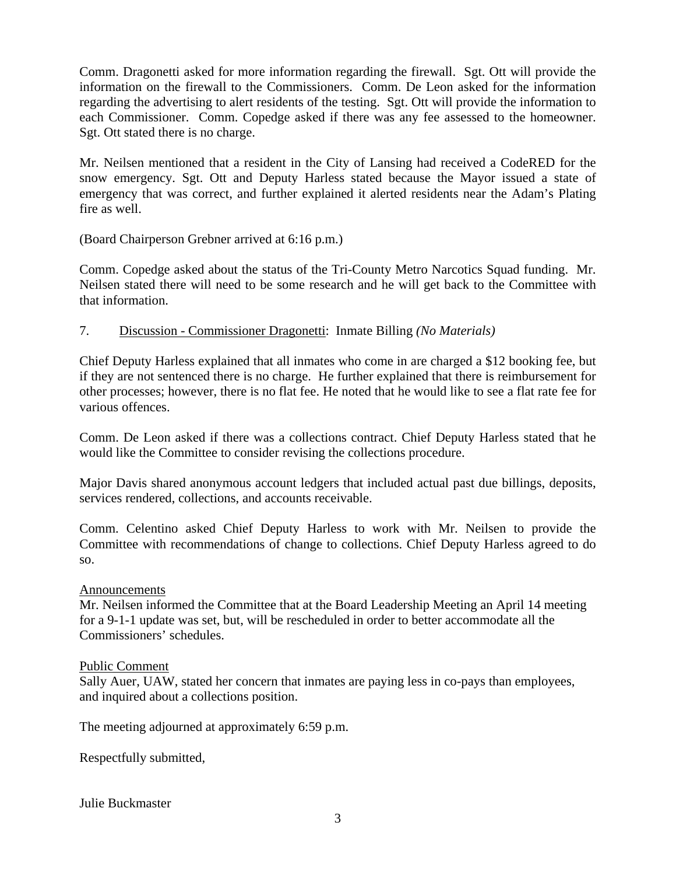Comm. Dragonetti asked for more information regarding the firewall. Sgt. Ott will provide the information on the firewall to the Commissioners. Comm. De Leon asked for the information regarding the advertising to alert residents of the testing. Sgt. Ott will provide the information to each Commissioner. Comm. Copedge asked if there was any fee assessed to the homeowner. Sgt. Ott stated there is no charge.

Mr. Neilsen mentioned that a resident in the City of Lansing had received a CodeRED for the snow emergency. Sgt. Ott and Deputy Harless stated because the Mayor issued a state of emergency that was correct, and further explained it alerted residents near the Adam's Plating fire as well.

(Board Chairperson Grebner arrived at 6:16 p.m.)

Comm. Copedge asked about the status of the Tri-County Metro Narcotics Squad funding. Mr. Neilsen stated there will need to be some research and he will get back to the Committee with that information.

#### 7. Discussion - Commissioner Dragonetti: Inmate Billing *(No Materials)*

Chief Deputy Harless explained that all inmates who come in are charged a \$12 booking fee, but if they are not sentenced there is no charge. He further explained that there is reimbursement for other processes; however, there is no flat fee. He noted that he would like to see a flat rate fee for various offences.

Comm. De Leon asked if there was a collections contract. Chief Deputy Harless stated that he would like the Committee to consider revising the collections procedure.

Major Davis shared anonymous account ledgers that included actual past due billings, deposits, services rendered, collections, and accounts receivable.

Comm. Celentino asked Chief Deputy Harless to work with Mr. Neilsen to provide the Committee with recommendations of change to collections. Chief Deputy Harless agreed to do so.

#### Announcements

Mr. Neilsen informed the Committee that at the Board Leadership Meeting an April 14 meeting for a 9-1-1 update was set, but, will be rescheduled in order to better accommodate all the Commissioners' schedules.

#### Public Comment

Sally Auer, UAW, stated her concern that inmates are paying less in co-pays than employees, and inquired about a collections position.

The meeting adjourned at approximately 6:59 p.m.

Respectfully submitted,

Julie Buckmaster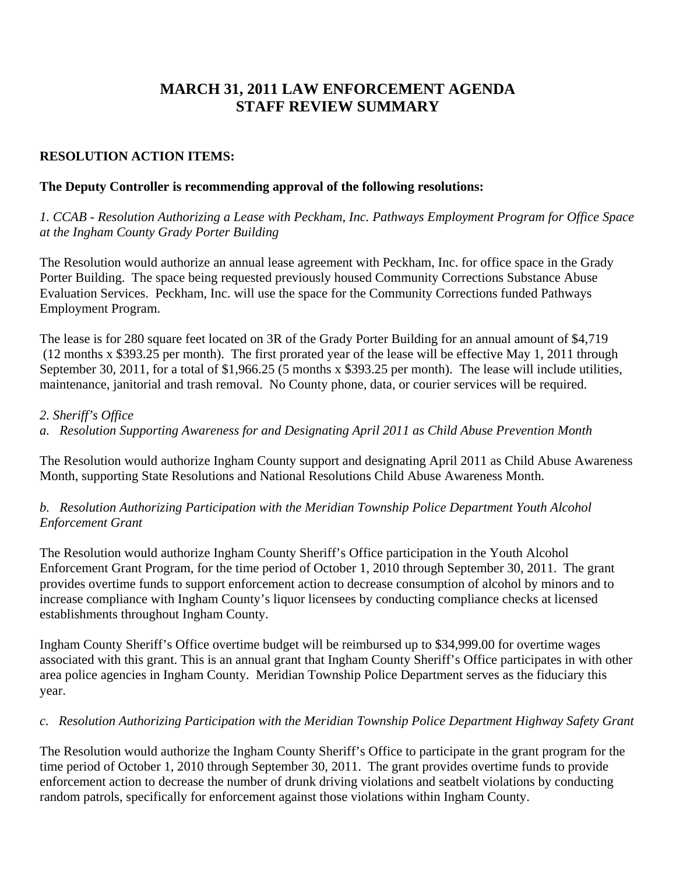# **MARCH 31, 2011 LAW ENFORCEMENT AGENDA STAFF REVIEW SUMMARY**

#### **RESOLUTION ACTION ITEMS:**

#### **The Deputy Controller is recommending approval of the following resolutions:**

*1. CCAB - Resolution Authorizing a Lease with Peckham, Inc. Pathways Employment Program for Office Space at the Ingham County Grady Porter Building* 

The Resolution would authorize an annual lease agreement with Peckham, Inc. for office space in the Grady Porter Building. The space being requested previously housed Community Corrections Substance Abuse Evaluation Services. Peckham, Inc. will use the space for the Community Corrections funded Pathways Employment Program.

The lease is for 280 square feet located on 3R of the Grady Porter Building for an annual amount of \$4,719 (12 months x \$393.25 per month). The first prorated year of the lease will be effective May 1, 2011 through September 30, 2011, for a total of \$1,966.25 (5 months x \$393.25 per month). The lease will include utilities, maintenance, janitorial and trash removal. No County phone, data, or courier services will be required.

#### *2. Sheriff's Office*

*a. Resolution Supporting Awareness for and Designating April 2011 as Child Abuse Prevention Month* 

The Resolution would authorize Ingham County support and designating April 2011 as Child Abuse Awareness Month, supporting State Resolutions and National Resolutions Child Abuse Awareness Month.

#### *b. Resolution Authorizing Participation with the Meridian Township Police Department Youth Alcohol Enforcement Grant*

The Resolution would authorize Ingham County Sheriff's Office participation in the Youth Alcohol Enforcement Grant Program, for the time period of October 1, 2010 through September 30, 2011. The grant provides overtime funds to support enforcement action to decrease consumption of alcohol by minors and to increase compliance with Ingham County's liquor licensees by conducting compliance checks at licensed establishments throughout Ingham County.

Ingham County Sheriff's Office overtime budget will be reimbursed up to \$34,999.00 for overtime wages associated with this grant. This is an annual grant that Ingham County Sheriff's Office participates in with other area police agencies in Ingham County. Meridian Township Police Department serves as the fiduciary this year.

#### *c. Resolution Authorizing Participation with the Meridian Township Police Department Highway Safety Grant*

The Resolution would authorize the Ingham County Sheriff's Office to participate in the grant program for the time period of October 1, 2010 through September 30, 2011. The grant provides overtime funds to provide enforcement action to decrease the number of drunk driving violations and seatbelt violations by conducting random patrols, specifically for enforcement against those violations within Ingham County.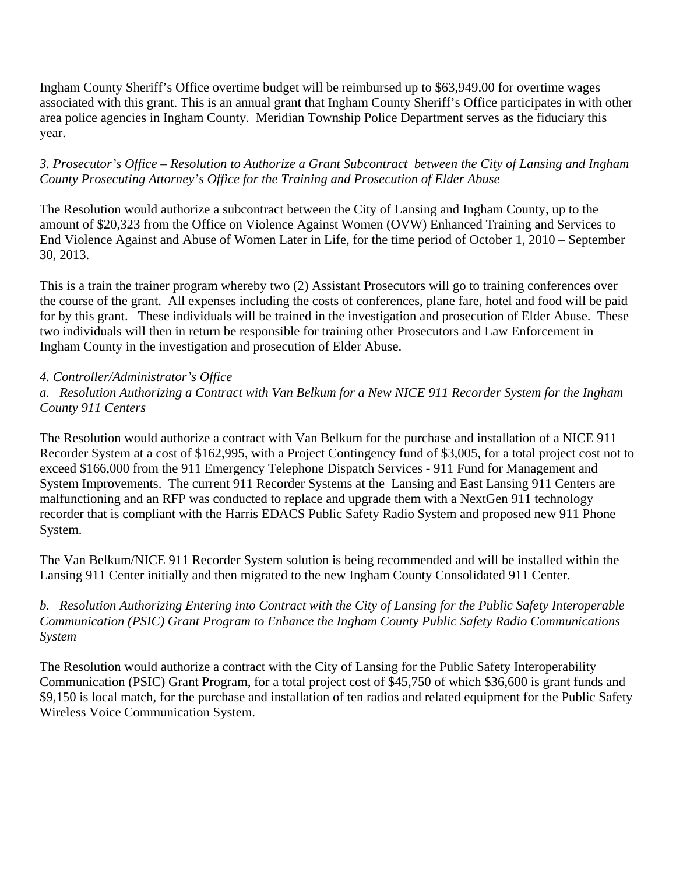Ingham County Sheriff's Office overtime budget will be reimbursed up to \$63,949.00 for overtime wages associated with this grant. This is an annual grant that Ingham County Sheriff's Office participates in with other area police agencies in Ingham County. Meridian Township Police Department serves as the fiduciary this year.

#### *3. Prosecutor's Office – Resolution to Authorize a Grant Subcontract between the City of Lansing and Ingham County Prosecuting Attorney's Office for the Training and Prosecution of Elder Abuse*

The Resolution would authorize a subcontract between the City of Lansing and Ingham County, up to the amount of \$20,323 from the Office on Violence Against Women (OVW) Enhanced Training and Services to End Violence Against and Abuse of Women Later in Life, for the time period of October 1, 2010 – September 30, 2013.

This is a train the trainer program whereby two (2) Assistant Prosecutors will go to training conferences over the course of the grant. All expenses including the costs of conferences, plane fare, hotel and food will be paid for by this grant. These individuals will be trained in the investigation and prosecution of Elder Abuse. These two individuals will then in return be responsible for training other Prosecutors and Law Enforcement in Ingham County in the investigation and prosecution of Elder Abuse.

## *4. Controller/Administrator's Office*

*a. Resolution Authorizing a Contract with Van Belkum for a New NICE 911 Recorder System for the Ingham County 911 Centers* 

The Resolution would authorize a contract with Van Belkum for the purchase and installation of a NICE 911 Recorder System at a cost of \$162,995, with a Project Contingency fund of \$3,005, for a total project cost not to exceed \$166,000 from the 911 Emergency Telephone Dispatch Services - 911 Fund for Management and System Improvements. The current 911 Recorder Systems at the Lansing and East Lansing 911 Centers are malfunctioning and an RFP was conducted to replace and upgrade them with a NextGen 911 technology recorder that is compliant with the Harris EDACS Public Safety Radio System and proposed new 911 Phone System.

The Van Belkum/NICE 911 Recorder System solution is being recommended and will be installed within the Lansing 911 Center initially and then migrated to the new Ingham County Consolidated 911 Center.

## *b. Resolution Authorizing Entering into Contract with the City of Lansing for the Public Safety Interoperable Communication (PSIC) Grant Program to Enhance the Ingham County Public Safety Radio Communications System*

The Resolution would authorize a contract with the City of Lansing for the Public Safety Interoperability Communication (PSIC) Grant Program, for a total project cost of \$45,750 of which \$36,600 is grant funds and \$9,150 is local match, for the purchase and installation of ten radios and related equipment for the Public Safety Wireless Voice Communication System.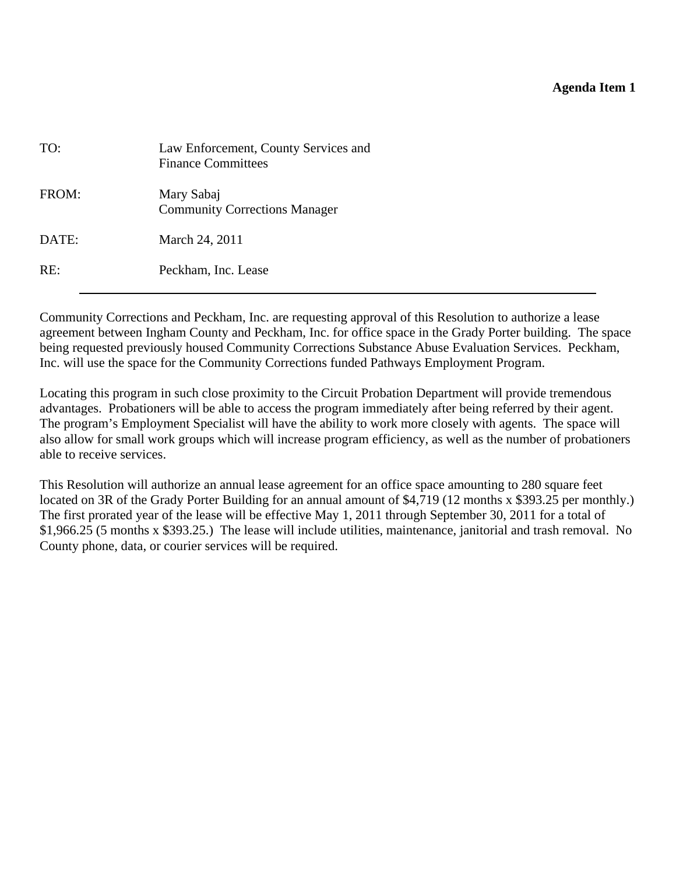#### **Agenda Item 1**

<span id="page-6-0"></span>

| TO:   | Law Enforcement, County Services and<br><b>Finance Committees</b> |
|-------|-------------------------------------------------------------------|
| FROM: | Mary Sabaj<br><b>Community Corrections Manager</b>                |
| DATE: | March 24, 2011                                                    |
| RE:   | Peckham, Inc. Lease                                               |

Community Corrections and Peckham, Inc. are requesting approval of this Resolution to authorize a lease agreement between Ingham County and Peckham, Inc. for office space in the Grady Porter building. The space being requested previously housed Community Corrections Substance Abuse Evaluation Services. Peckham, Inc. will use the space for the Community Corrections funded Pathways Employment Program.

Locating this program in such close proximity to the Circuit Probation Department will provide tremendous advantages. Probationers will be able to access the program immediately after being referred by their agent. The program's Employment Specialist will have the ability to work more closely with agents. The space will also allow for small work groups which will increase program efficiency, as well as the number of probationers able to receive services.

This Resolution will authorize an annual lease agreement for an office space amounting to 280 square feet located on 3R of the Grady Porter Building for an annual amount of \$4,719 (12 months x \$393.25 per monthly.) The first prorated year of the lease will be effective May 1, 2011 through September 30, 2011 for a total of \$1,966.25 (5 months x \$393.25.) The lease will include utilities, maintenance, janitorial and trash removal. No County phone, data, or courier services will be required.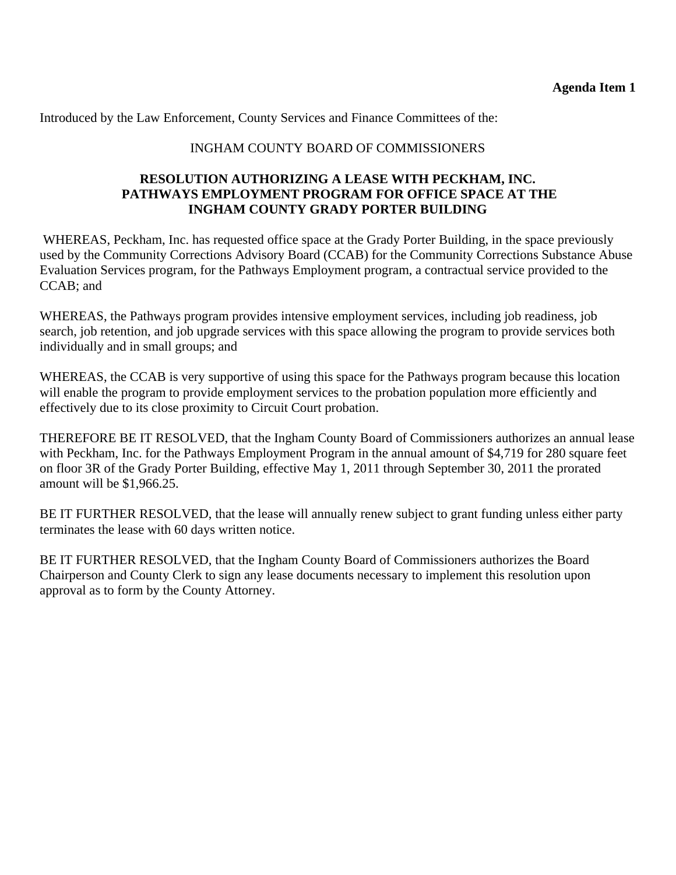Introduced by the Law Enforcement, County Services and Finance Committees of the:

## INGHAM COUNTY BOARD OF COMMISSIONERS

#### **RESOLUTION AUTHORIZING A LEASE WITH PECKHAM, INC. PATHWAYS EMPLOYMENT PROGRAM FOR OFFICE SPACE AT THE INGHAM COUNTY GRADY PORTER BUILDING**

 WHEREAS, Peckham, Inc. has requested office space at the Grady Porter Building, in the space previously used by the Community Corrections Advisory Board (CCAB) for the Community Corrections Substance Abuse Evaluation Services program, for the Pathways Employment program, a contractual service provided to the CCAB; and

WHEREAS, the Pathways program provides intensive employment services, including job readiness, job search, job retention, and job upgrade services with this space allowing the program to provide services both individually and in small groups; and

WHEREAS, the CCAB is very supportive of using this space for the Pathways program because this location will enable the program to provide employment services to the probation population more efficiently and effectively due to its close proximity to Circuit Court probation.

THEREFORE BE IT RESOLVED, that the Ingham County Board of Commissioners authorizes an annual lease with Peckham, Inc. for the Pathways Employment Program in the annual amount of \$4,719 for 280 square feet on floor 3R of the Grady Porter Building, effective May 1, 2011 through September 30, 2011 the prorated amount will be \$1,966.25.

BE IT FURTHER RESOLVED, that the lease will annually renew subject to grant funding unless either party terminates the lease with 60 days written notice.

BE IT FURTHER RESOLVED, that the Ingham County Board of Commissioners authorizes the Board Chairperson and County Clerk to sign any lease documents necessary to implement this resolution upon approval as to form by the County Attorney.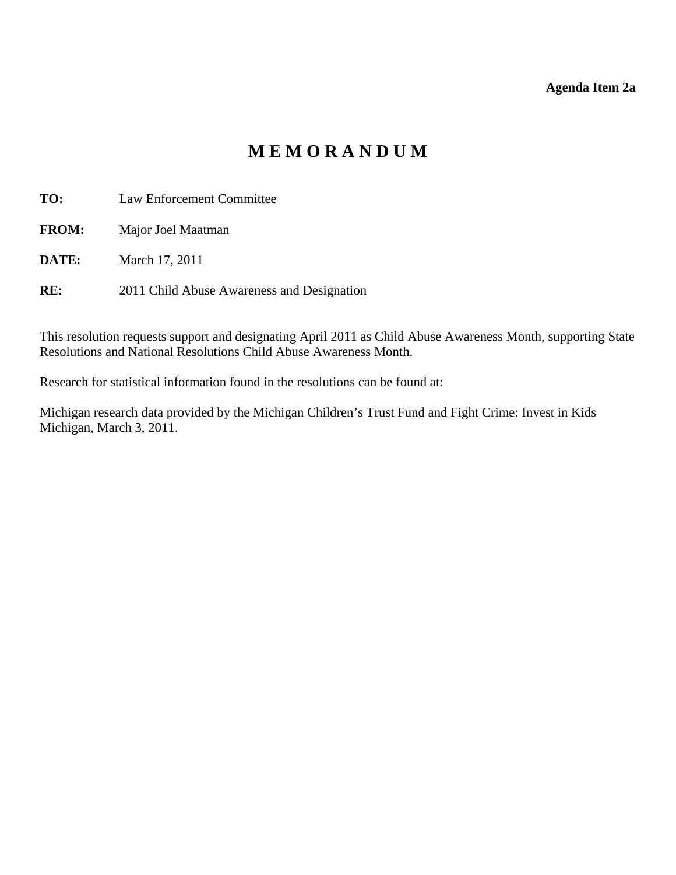#### **Agenda Item 2a**

# **M E M O R A N D U M**

<span id="page-8-0"></span>**TO:** Law Enforcement Committee

**FROM:** Major Joel Maatman

**DATE:** March 17, 2011

**RE:** 2011 Child Abuse Awareness and Designation

This resolution requests support and designating April 2011 as Child Abuse Awareness Month, supporting State Resolutions and National Resolutions Child Abuse Awareness Month.

Research for statistical information found in the resolutions can be found at:

Michigan research data provided by the Michigan Children's Trust Fund and Fight Crime: Invest in Kids Michigan, March 3, 2011.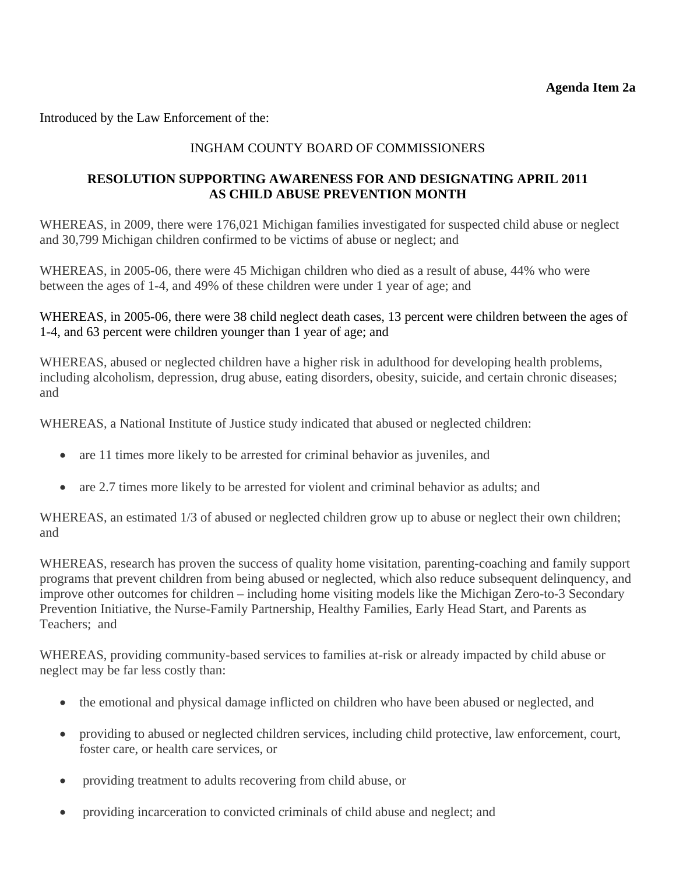Introduced by the Law Enforcement of the:

## INGHAM COUNTY BOARD OF COMMISSIONERS

#### **RESOLUTION SUPPORTING AWARENESS FOR AND DESIGNATING APRIL 2011 AS CHILD ABUSE PREVENTION MONTH**

WHEREAS, in 2009, there were 176,021 Michigan families investigated for suspected child abuse or neglect and 30,799 Michigan children confirmed to be victims of abuse or neglect; and

WHEREAS, in 2005-06, there were 45 Michigan children who died as a result of abuse, 44% who were between the ages of 1-4, and 49% of these children were under 1 year of age; and

WHEREAS, in 2005-06, there were 38 child neglect death cases, 13 percent were children between the ages of 1-4, and 63 percent were children younger than 1 year of age; and

WHEREAS, abused or neglected children have a higher risk in adulthood for developing health problems, including alcoholism, depression, drug abuse, eating disorders, obesity, suicide, and certain chronic diseases; and

WHEREAS, a National Institute of Justice study indicated that abused or neglected children:

- are 11 times more likely to be arrested for criminal behavior as juveniles, and
- are 2.7 times more likely to be arrested for violent and criminal behavior as adults; and

WHEREAS, an estimated  $1/3$  of abused or neglected children grow up to abuse or neglect their own children; and

WHEREAS, research has proven the success of quality home visitation, parenting-coaching and family support programs that prevent children from being abused or neglected, which also reduce subsequent delinquency, and improve other outcomes for children – including home visiting models like the Michigan Zero-to-3 Secondary Prevention Initiative, the Nurse-Family Partnership, Healthy Families, Early Head Start, and Parents as Teachers; and

WHEREAS, providing community-based services to families at-risk or already impacted by child abuse or neglect may be far less costly than:

- the emotional and physical damage inflicted on children who have been abused or neglected, and
- providing to abused or neglected children services, including child protective, law enforcement, court, foster care, or health care services, or
- providing treatment to adults recovering from child abuse, or
- providing incarceration to convicted criminals of child abuse and neglect; and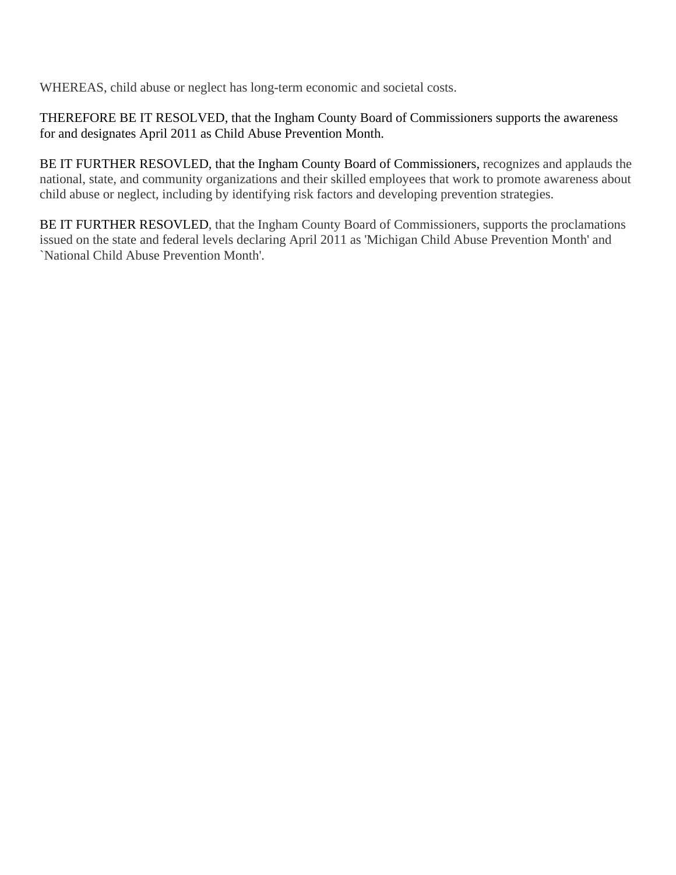WHEREAS, child abuse or neglect has long-term economic and societal costs.

THEREFORE BE IT RESOLVED, that the Ingham County Board of Commissioners supports the awareness for and designates April 2011 as Child Abuse Prevention Month.

BE IT FURTHER RESOVLED, that the Ingham County Board of Commissioners, recognizes and applauds the national, state, and community organizations and their skilled employees that work to promote awareness about child abuse or neglect, including by identifying risk factors and developing prevention strategies.

BE IT FURTHER RESOVLED, that the Ingham County Board of Commissioners, supports the proclamations issued on the state and federal levels declaring April 2011 as 'Michigan Child Abuse Prevention Month' and `National Child Abuse Prevention Month'.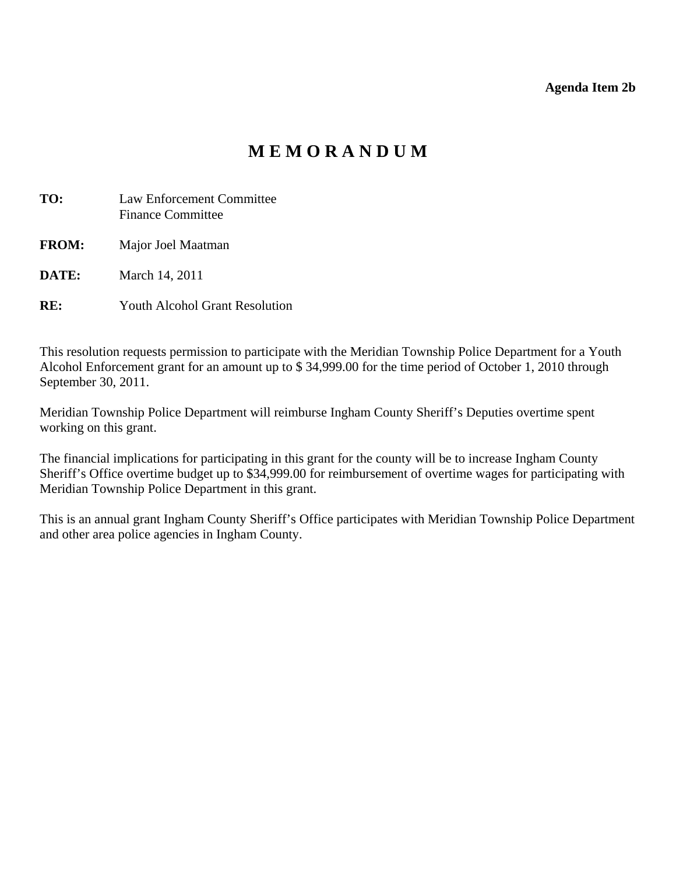**Agenda Item 2b** 

# **M E M O R A N D U M**

<span id="page-11-0"></span>

| TO:          | Law Enforcement Committee<br><b>Finance Committee</b> |
|--------------|-------------------------------------------------------|
| <b>FROM:</b> | Major Joel Maatman                                    |
| DATE:        | March 14, 2011                                        |
| $_{\rm{RF}}$ | <b>Youth Alcohol Grant Resolution</b>                 |

This resolution requests permission to participate with the Meridian Township Police Department for a Youth Alcohol Enforcement grant for an amount up to \$ 34,999.00 for the time period of October 1, 2010 through September 30, 2011.

Meridian Township Police Department will reimburse Ingham County Sheriff's Deputies overtime spent working on this grant.

The financial implications for participating in this grant for the county will be to increase Ingham County Sheriff's Office overtime budget up to \$34,999.00 for reimbursement of overtime wages for participating with Meridian Township Police Department in this grant.

This is an annual grant Ingham County Sheriff's Office participates with Meridian Township Police Department and other area police agencies in Ingham County.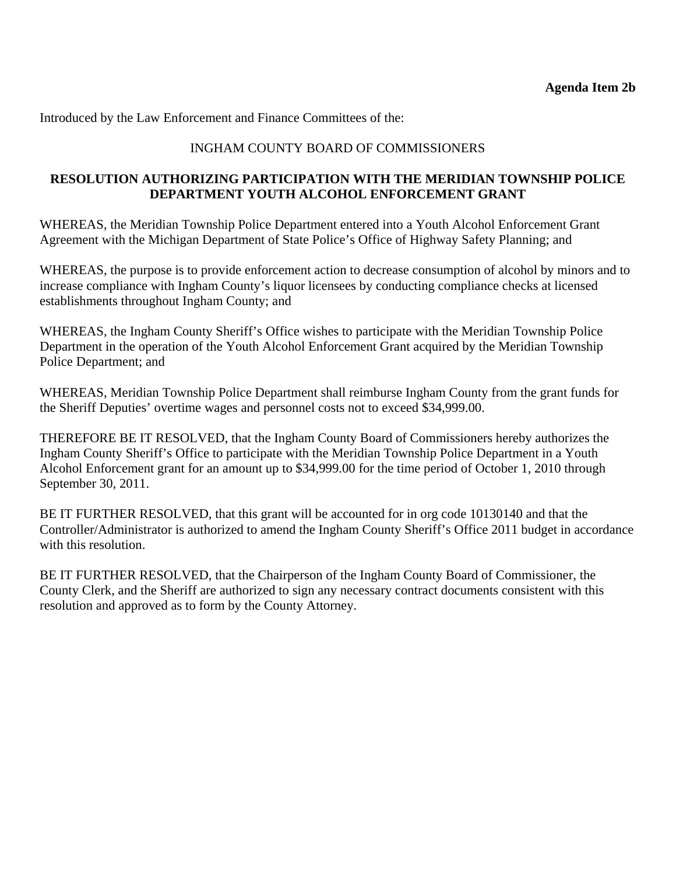Introduced by the Law Enforcement and Finance Committees of the:

# INGHAM COUNTY BOARD OF COMMISSIONERS

#### **RESOLUTION AUTHORIZING PARTICIPATION WITH THE MERIDIAN TOWNSHIP POLICE DEPARTMENT YOUTH ALCOHOL ENFORCEMENT GRANT**

WHEREAS, the Meridian Township Police Department entered into a Youth Alcohol Enforcement Grant Agreement with the Michigan Department of State Police's Office of Highway Safety Planning; and

WHEREAS, the purpose is to provide enforcement action to decrease consumption of alcohol by minors and to increase compliance with Ingham County's liquor licensees by conducting compliance checks at licensed establishments throughout Ingham County; and

WHEREAS, the Ingham County Sheriff's Office wishes to participate with the Meridian Township Police Department in the operation of the Youth Alcohol Enforcement Grant acquired by the Meridian Township Police Department; and

WHEREAS, Meridian Township Police Department shall reimburse Ingham County from the grant funds for the Sheriff Deputies' overtime wages and personnel costs not to exceed \$34,999.00.

THEREFORE BE IT RESOLVED, that the Ingham County Board of Commissioners hereby authorizes the Ingham County Sheriff's Office to participate with the Meridian Township Police Department in a Youth Alcohol Enforcement grant for an amount up to \$34,999.00 for the time period of October 1, 2010 through September 30, 2011.

BE IT FURTHER RESOLVED, that this grant will be accounted for in org code 10130140 and that the Controller/Administrator is authorized to amend the Ingham County Sheriff's Office 2011 budget in accordance with this resolution.

BE IT FURTHER RESOLVED, that the Chairperson of the Ingham County Board of Commissioner, the County Clerk, and the Sheriff are authorized to sign any necessary contract documents consistent with this resolution and approved as to form by the County Attorney.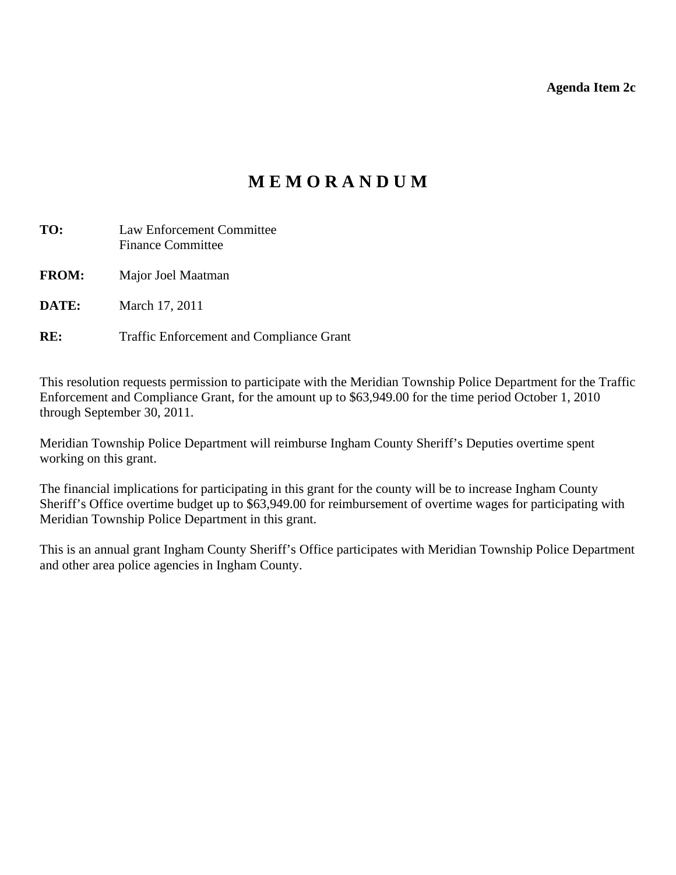**Agenda Item 2c** 

# **M E M O R A N D U M**

<span id="page-13-0"></span>

| TO:          | Law Enforcement Committee<br><b>Finance Committee</b> |
|--------------|-------------------------------------------------------|
| <b>FROM:</b> | Major Joel Maatman                                    |
| DATE:        | March 17, 2011                                        |
| RE:          | <b>Traffic Enforcement and Compliance Grant</b>       |

This resolution requests permission to participate with the Meridian Township Police Department for the Traffic Enforcement and Compliance Grant, for the amount up to \$63,949.00 for the time period October 1, 2010 through September 30, 2011.

Meridian Township Police Department will reimburse Ingham County Sheriff's Deputies overtime spent working on this grant.

The financial implications for participating in this grant for the county will be to increase Ingham County Sheriff's Office overtime budget up to \$63,949.00 for reimbursement of overtime wages for participating with Meridian Township Police Department in this grant.

This is an annual grant Ingham County Sheriff's Office participates with Meridian Township Police Department and other area police agencies in Ingham County.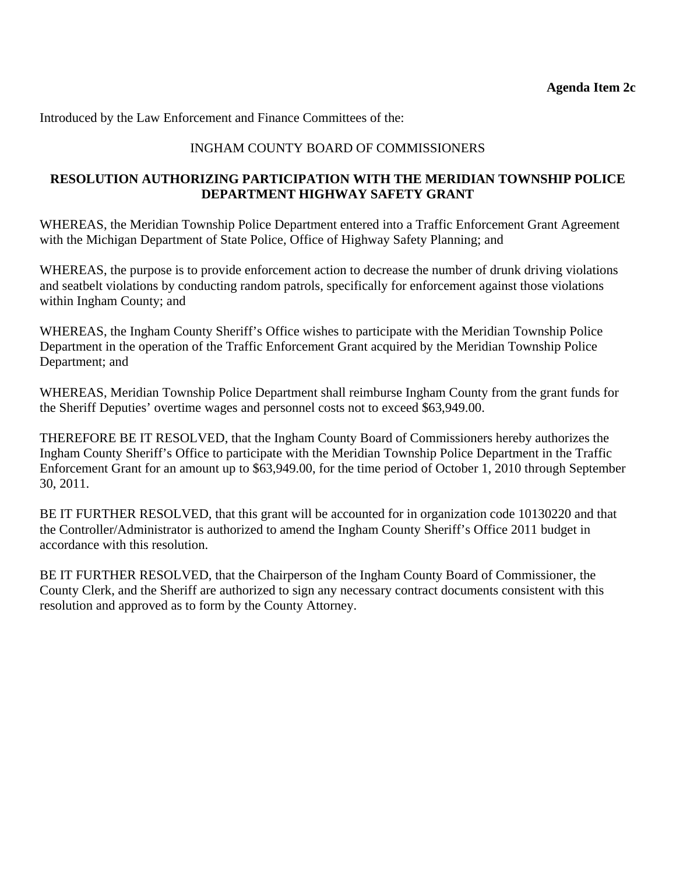Introduced by the Law Enforcement and Finance Committees of the:

# INGHAM COUNTY BOARD OF COMMISSIONERS

#### **RESOLUTION AUTHORIZING PARTICIPATION WITH THE MERIDIAN TOWNSHIP POLICE DEPARTMENT HIGHWAY SAFETY GRANT**

WHEREAS, the Meridian Township Police Department entered into a Traffic Enforcement Grant Agreement with the Michigan Department of State Police, Office of Highway Safety Planning; and

WHEREAS, the purpose is to provide enforcement action to decrease the number of drunk driving violations and seatbelt violations by conducting random patrols, specifically for enforcement against those violations within Ingham County; and

WHEREAS, the Ingham County Sheriff's Office wishes to participate with the Meridian Township Police Department in the operation of the Traffic Enforcement Grant acquired by the Meridian Township Police Department; and

WHEREAS, Meridian Township Police Department shall reimburse Ingham County from the grant funds for the Sheriff Deputies' overtime wages and personnel costs not to exceed \$63,949.00.

THEREFORE BE IT RESOLVED, that the Ingham County Board of Commissioners hereby authorizes the Ingham County Sheriff's Office to participate with the Meridian Township Police Department in the Traffic Enforcement Grant for an amount up to \$63,949.00, for the time period of October 1, 2010 through September 30, 2011.

BE IT FURTHER RESOLVED, that this grant will be accounted for in organization code 10130220 and that the Controller/Administrator is authorized to amend the Ingham County Sheriff's Office 2011 budget in accordance with this resolution.

BE IT FURTHER RESOLVED, that the Chairperson of the Ingham County Board of Commissioner, the County Clerk, and the Sheriff are authorized to sign any necessary contract documents consistent with this resolution and approved as to form by the County Attorney.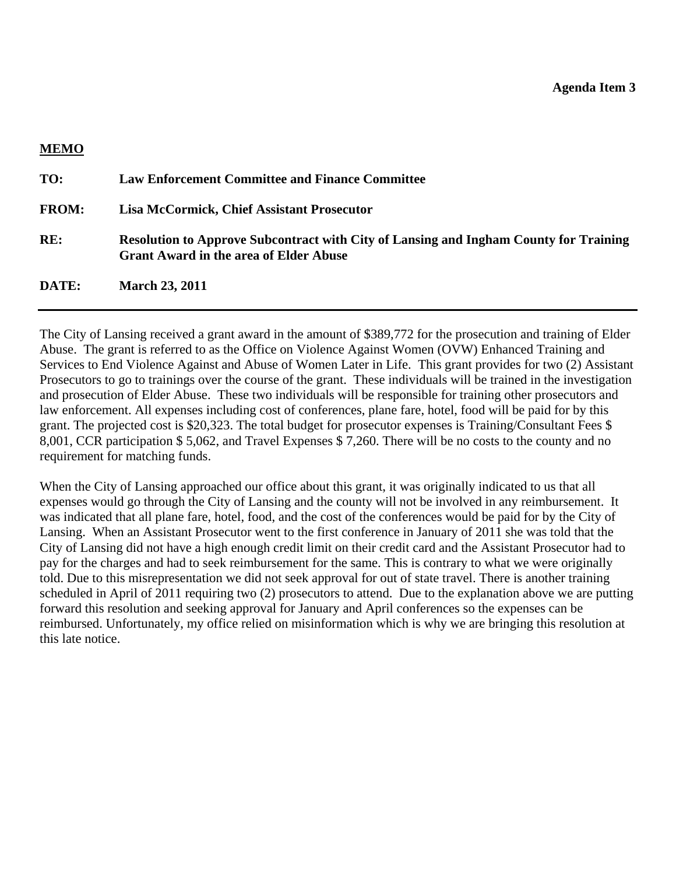<span id="page-15-0"></span>

| <b>MEMO</b>  |                                                                                                                                               |
|--------------|-----------------------------------------------------------------------------------------------------------------------------------------------|
| TO:          | <b>Law Enforcement Committee and Finance Committee</b>                                                                                        |
| <b>FROM:</b> | <b>Lisa McCormick, Chief Assistant Prosecutor</b>                                                                                             |
| RE:          | <b>Resolution to Approve Subcontract with City of Lansing and Ingham County for Training</b><br><b>Grant Award in the area of Elder Abuse</b> |
| DATE:        | <b>March 23, 2011</b>                                                                                                                         |

The City of Lansing received a grant award in the amount of \$389,772 for the prosecution and training of Elder Abuse. The grant is referred to as the Office on Violence Against Women (OVW) Enhanced Training and Services to End Violence Against and Abuse of Women Later in Life. This grant provides for two (2) Assistant Prosecutors to go to trainings over the course of the grant. These individuals will be trained in the investigation and prosecution of Elder Abuse. These two individuals will be responsible for training other prosecutors and law enforcement. All expenses including cost of conferences, plane fare, hotel, food will be paid for by this grant. The projected cost is \$20,323. The total budget for prosecutor expenses is Training/Consultant Fees \$ 8,001, CCR participation \$ 5,062, and Travel Expenses \$ 7,260. There will be no costs to the county and no requirement for matching funds.

When the City of Lansing approached our office about this grant, it was originally indicated to us that all expenses would go through the City of Lansing and the county will not be involved in any reimbursement. It was indicated that all plane fare, hotel, food, and the cost of the conferences would be paid for by the City of Lansing. When an Assistant Prosecutor went to the first conference in January of 2011 she was told that the City of Lansing did not have a high enough credit limit on their credit card and the Assistant Prosecutor had to pay for the charges and had to seek reimbursement for the same. This is contrary to what we were originally told. Due to this misrepresentation we did not seek approval for out of state travel. There is another training scheduled in April of 2011 requiring two (2) prosecutors to attend. Due to the explanation above we are putting forward this resolution and seeking approval for January and April conferences so the expenses can be reimbursed. Unfortunately, my office relied on misinformation which is why we are bringing this resolution at this late notice.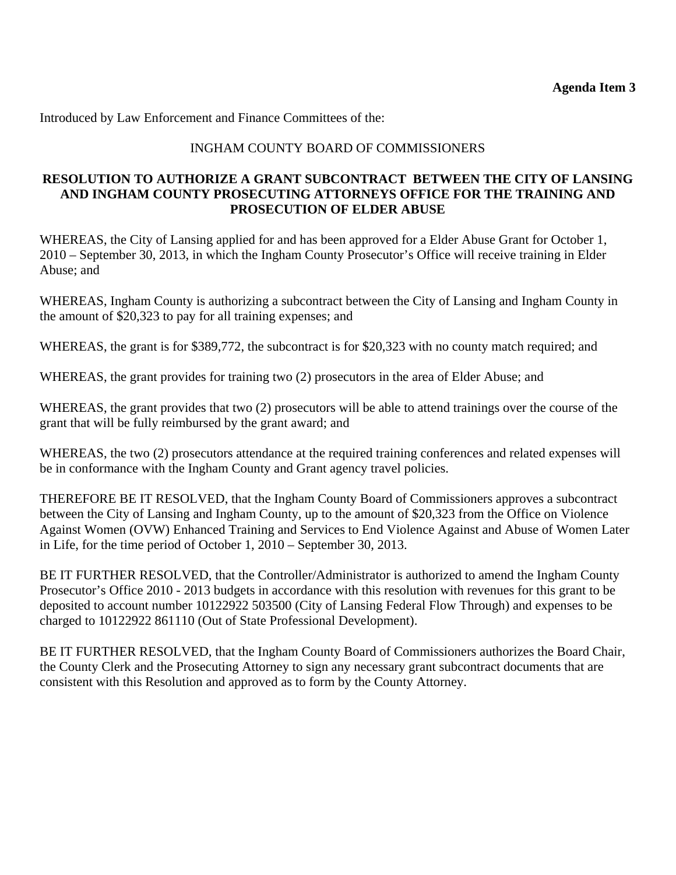Introduced by Law Enforcement and Finance Committees of the:

## INGHAM COUNTY BOARD OF COMMISSIONERS

#### **RESOLUTION TO AUTHORIZE A GRANT SUBCONTRACT BETWEEN THE CITY OF LANSING AND INGHAM COUNTY PROSECUTING ATTORNEYS OFFICE FOR THE TRAINING AND PROSECUTION OF ELDER ABUSE**

WHEREAS, the City of Lansing applied for and has been approved for a Elder Abuse Grant for October 1, 2010 – September 30, 2013, in which the Ingham County Prosecutor's Office will receive training in Elder Abuse; and

WHEREAS, Ingham County is authorizing a subcontract between the City of Lansing and Ingham County in the amount of \$20,323 to pay for all training expenses; and

WHEREAS, the grant is for \$389,772, the subcontract is for \$20,323 with no county match required; and

WHEREAS, the grant provides for training two (2) prosecutors in the area of Elder Abuse; and

WHEREAS, the grant provides that two (2) prosecutors will be able to attend trainings over the course of the grant that will be fully reimbursed by the grant award; and

WHEREAS, the two (2) prosecutors attendance at the required training conferences and related expenses will be in conformance with the Ingham County and Grant agency travel policies.

THEREFORE BE IT RESOLVED, that the Ingham County Board of Commissioners approves a subcontract between the City of Lansing and Ingham County, up to the amount of \$20,323 from the Office on Violence Against Women (OVW) Enhanced Training and Services to End Violence Against and Abuse of Women Later in Life, for the time period of October 1, 2010 – September 30, 2013.

BE IT FURTHER RESOLVED, that the Controller/Administrator is authorized to amend the Ingham County Prosecutor's Office 2010 - 2013 budgets in accordance with this resolution with revenues for this grant to be deposited to account number 10122922 503500 (City of Lansing Federal Flow Through) and expenses to be charged to 10122922 861110 (Out of State Professional Development).

BE IT FURTHER RESOLVED, that the Ingham County Board of Commissioners authorizes the Board Chair, the County Clerk and the Prosecuting Attorney to sign any necessary grant subcontract documents that are consistent with this Resolution and approved as to form by the County Attorney.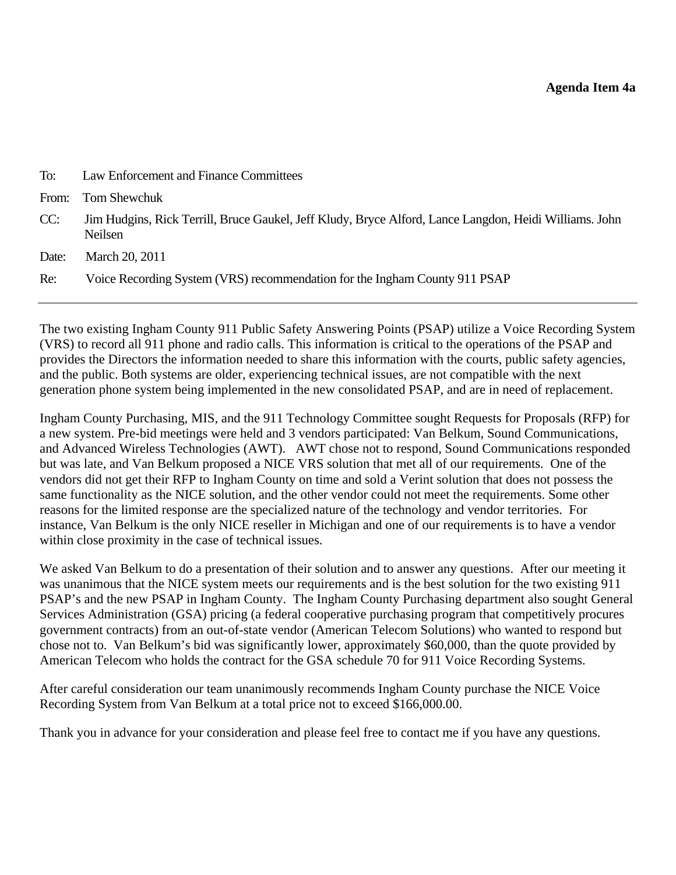<span id="page-17-0"></span>

| To:   | Law Enforcement and Finance Committees                                                                            |
|-------|-------------------------------------------------------------------------------------------------------------------|
| From: | Tom Shewchuk                                                                                                      |
| CC:   | Jim Hudgins, Rick Terrill, Bruce Gaukel, Jeff Kludy, Bryce Alford, Lance Langdon, Heidi Williams. John<br>Neilsen |
| Date: | March 20, 2011                                                                                                    |
| Re:   | Voice Recording System (VRS) recommendation for the Ingham County 911 PSAP                                        |
|       |                                                                                                                   |

The two existing Ingham County 911 Public Safety Answering Points (PSAP) utilize a Voice Recording System (VRS) to record all 911 phone and radio calls. This information is critical to the operations of the PSAP and provides the Directors the information needed to share this information with the courts, public safety agencies, and the public. Both systems are older, experiencing technical issues, are not compatible with the next generation phone system being implemented in the new consolidated PSAP, and are in need of replacement.

Ingham County Purchasing, MIS, and the 911 Technology Committee sought Requests for Proposals (RFP) for a new system. Pre-bid meetings were held and 3 vendors participated: Van Belkum, Sound Communications, and Advanced Wireless Technologies (AWT). AWT chose not to respond, Sound Communications responded but was late, and Van Belkum proposed a NICE VRS solution that met all of our requirements. One of the vendors did not get their RFP to Ingham County on time and sold a Verint solution that does not possess the same functionality as the NICE solution, and the other vendor could not meet the requirements. Some other reasons for the limited response are the specialized nature of the technology and vendor territories. For instance, Van Belkum is the only NICE reseller in Michigan and one of our requirements is to have a vendor within close proximity in the case of technical issues.

We asked Van Belkum to do a presentation of their solution and to answer any questions. After our meeting it was unanimous that the NICE system meets our requirements and is the best solution for the two existing 911 PSAP's and the new PSAP in Ingham County. The Ingham County Purchasing department also sought General Services Administration (GSA) pricing (a federal cooperative purchasing program that competitively procures government contracts) from an out-of-state vendor (American Telecom Solutions) who wanted to respond but chose not to. Van Belkum's bid was significantly lower, approximately \$60,000, than the quote provided by American Telecom who holds the contract for the GSA schedule 70 for 911 Voice Recording Systems.

After careful consideration our team unanimously recommends Ingham County purchase the NICE Voice Recording System from Van Belkum at a total price not to exceed \$166,000.00.

Thank you in advance for your consideration and please feel free to contact me if you have any questions.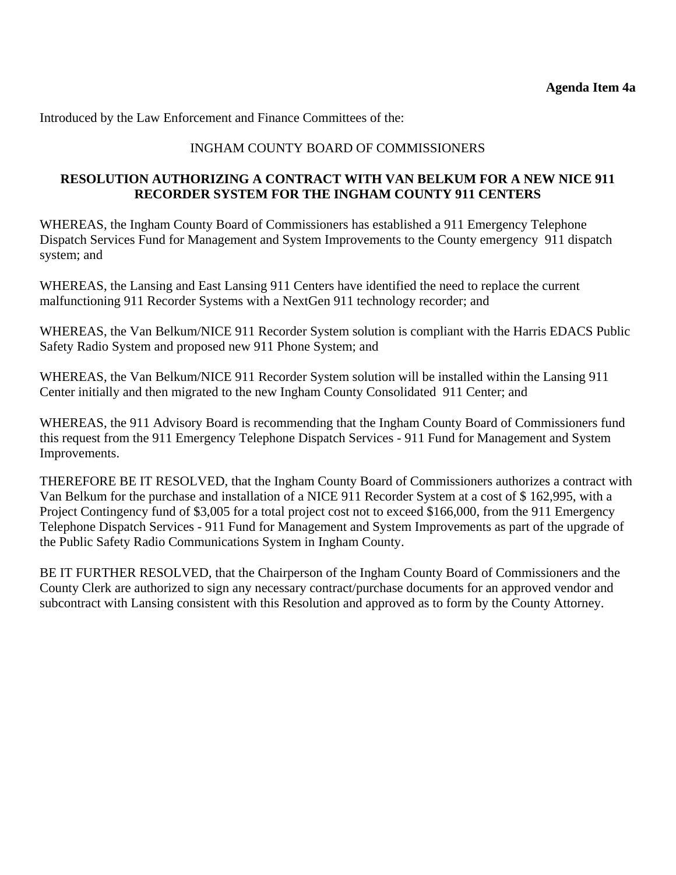Introduced by the Law Enforcement and Finance Committees of the:

#### INGHAM COUNTY BOARD OF COMMISSIONERS

#### **RESOLUTION AUTHORIZING A CONTRACT WITH VAN BELKUM FOR A NEW NICE 911 RECORDER SYSTEM FOR THE INGHAM COUNTY 911 CENTERS**

WHEREAS, the Ingham County Board of Commissioners has established a 911 Emergency Telephone Dispatch Services Fund for Management and System Improvements to the County emergency 911 dispatch system; and

WHEREAS, the Lansing and East Lansing 911 Centers have identified the need to replace the current malfunctioning 911 Recorder Systems with a NextGen 911 technology recorder; and

WHEREAS, the Van Belkum/NICE 911 Recorder System solution is compliant with the Harris EDACS Public Safety Radio System and proposed new 911 Phone System; and

WHEREAS, the Van Belkum/NICE 911 Recorder System solution will be installed within the Lansing 911 Center initially and then migrated to the new Ingham County Consolidated 911 Center; and

WHEREAS, the 911 Advisory Board is recommending that the Ingham County Board of Commissioners fund this request from the 911 Emergency Telephone Dispatch Services - 911 Fund for Management and System Improvements.

THEREFORE BE IT RESOLVED, that the Ingham County Board of Commissioners authorizes a contract with Van Belkum for the purchase and installation of a NICE 911 Recorder System at a cost of \$ 162,995, with a Project Contingency fund of \$3,005 for a total project cost not to exceed \$166,000, from the 911 Emergency Telephone Dispatch Services - 911 Fund for Management and System Improvements as part of the upgrade of the Public Safety Radio Communications System in Ingham County.

BE IT FURTHER RESOLVED, that the Chairperson of the Ingham County Board of Commissioners and the County Clerk are authorized to sign any necessary contract/purchase documents for an approved vendor and subcontract with Lansing consistent with this Resolution and approved as to form by the County Attorney.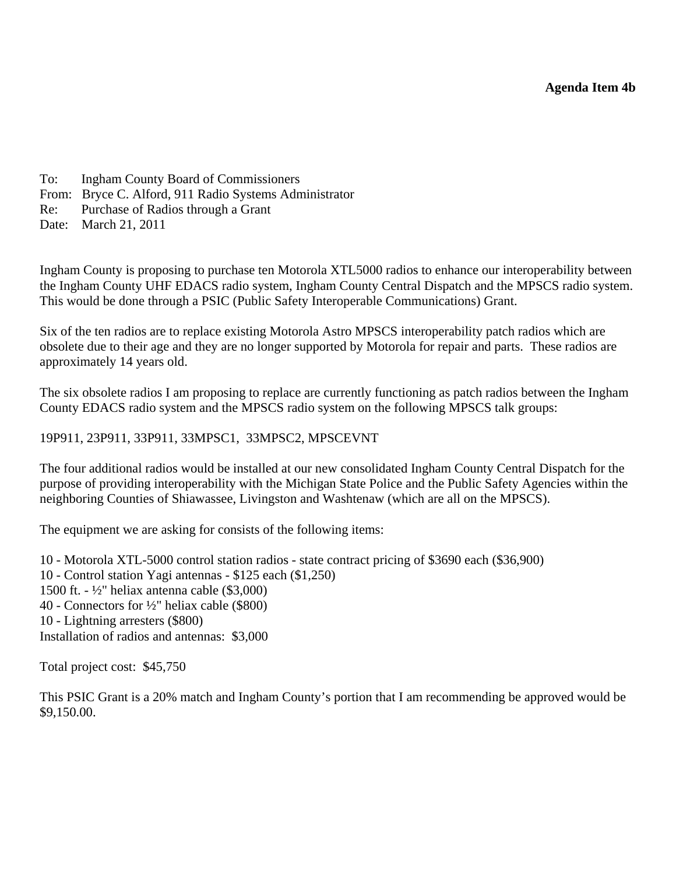- <span id="page-19-0"></span>To: Ingham County Board of Commissioners
- From: Bryce C. Alford, 911 Radio Systems Administrator
- Re: Purchase of Radios through a Grant
- Date: March 21, 2011

Ingham County is proposing to purchase ten Motorola XTL5000 radios to enhance our interoperability between the Ingham County UHF EDACS radio system, Ingham County Central Dispatch and the MPSCS radio system. This would be done through a PSIC (Public Safety Interoperable Communications) Grant.

Six of the ten radios are to replace existing Motorola Astro MPSCS interoperability patch radios which are obsolete due to their age and they are no longer supported by Motorola for repair and parts. These radios are approximately 14 years old.

The six obsolete radios I am proposing to replace are currently functioning as patch radios between the Ingham County EDACS radio system and the MPSCS radio system on the following MPSCS talk groups:

#### 19P911, 23P911, 33P911, 33MPSC1, 33MPSC2, MPSCEVNT

The four additional radios would be installed at our new consolidated Ingham County Central Dispatch for the purpose of providing interoperability with the Michigan State Police and the Public Safety Agencies within the neighboring Counties of Shiawassee, Livingston and Washtenaw (which are all on the MPSCS).

The equipment we are asking for consists of the following items:

10 - Motorola XTL-5000 control station radios - state contract pricing of \$3690 each (\$36,900) 10 - Control station Yagi antennas - \$125 each (\$1,250) 1500 ft. - ½" heliax antenna cable (\$3,000) 40 - Connectors for ½" heliax cable (\$800) 10 - Lightning arresters (\$800) Installation of radios and antennas: \$3,000

Total project cost: \$45,750

This PSIC Grant is a 20% match and Ingham County's portion that I am recommending be approved would be \$9,150.00.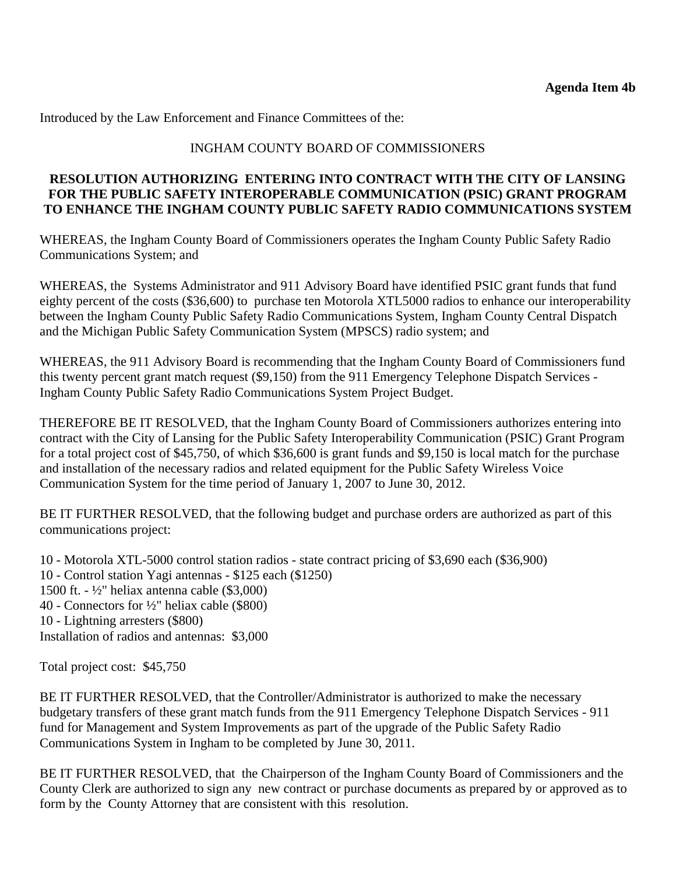Introduced by the Law Enforcement and Finance Committees of the:

#### INGHAM COUNTY BOARD OF COMMISSIONERS

#### **RESOLUTION AUTHORIZING ENTERING INTO CONTRACT WITH THE CITY OF LANSING FOR THE PUBLIC SAFETY INTEROPERABLE COMMUNICATION (PSIC) GRANT PROGRAM TO ENHANCE THE INGHAM COUNTY PUBLIC SAFETY RADIO COMMUNICATIONS SYSTEM**

WHEREAS, the Ingham County Board of Commissioners operates the Ingham County Public Safety Radio Communications System; and

WHEREAS, the Systems Administrator and 911 Advisory Board have identified PSIC grant funds that fund eighty percent of the costs (\$36,600) to purchase ten Motorola XTL5000 radios to enhance our interoperability between the Ingham County Public Safety Radio Communications System, Ingham County Central Dispatch and the Michigan Public Safety Communication System (MPSCS) radio system; and

WHEREAS, the 911 Advisory Board is recommending that the Ingham County Board of Commissioners fund this twenty percent grant match request (\$9,150) from the 911 Emergency Telephone Dispatch Services - Ingham County Public Safety Radio Communications System Project Budget.

THEREFORE BE IT RESOLVED, that the Ingham County Board of Commissioners authorizes entering into contract with the City of Lansing for the Public Safety Interoperability Communication (PSIC) Grant Program for a total project cost of \$45,750, of which \$36,600 is grant funds and \$9,150 is local match for the purchase and installation of the necessary radios and related equipment for the Public Safety Wireless Voice Communication System for the time period of January 1, 2007 to June 30, 2012.

BE IT FURTHER RESOLVED, that the following budget and purchase orders are authorized as part of this communications project:

10 - Motorola XTL-5000 control station radios - state contract pricing of \$3,690 each (\$36,900) 10 - Control station Yagi antennas - \$125 each (\$1250) 1500 ft. - ½" heliax antenna cable (\$3,000) 40 - Connectors for ½" heliax cable (\$800) 10 - Lightning arresters (\$800) Installation of radios and antennas: \$3,000

Total project cost: \$45,750

BE IT FURTHER RESOLVED, that the Controller/Administrator is authorized to make the necessary budgetary transfers of these grant match funds from the 911 Emergency Telephone Dispatch Services - 911 fund for Management and System Improvements as part of the upgrade of the Public Safety Radio Communications System in Ingham to be completed by June 30, 2011.

BE IT FURTHER RESOLVED, that the Chairperson of the Ingham County Board of Commissioners and the County Clerk are authorized to sign any new contract or purchase documents as prepared by or approved as to form by the County Attorney that are consistent with this resolution.